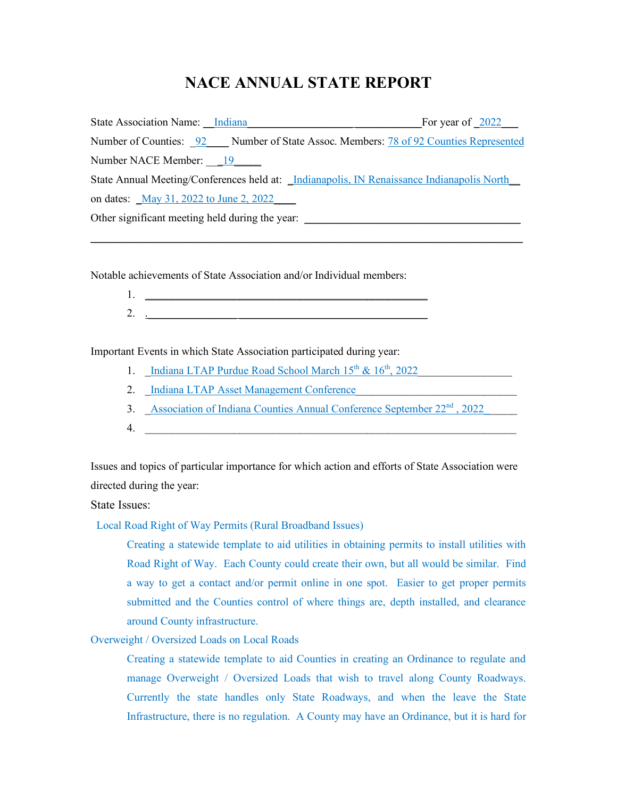## **NACE ANNUAL STATE REPORT**

| State Association Name: Indiana                                                                  | For year of $\sqrt{2022}$ |
|--------------------------------------------------------------------------------------------------|---------------------------|
| Number of Counties: 92 Number of State Assoc. Members: 78 of 92 Counties Represented             |                           |
| Number NACE Member: 19                                                                           |                           |
| State Annual Meeting/Conferences held at: <i>Indianapolis, IN Renaissance Indianapolis North</i> |                           |
| on dates: May 31, 2022 to June 2, 2022                                                           |                           |
| Other significant meeting held during the year:                                                  |                           |

\_\_\_\_\_\_\_\_\_\_\_\_\_\_\_\_\_\_\_\_\_\_\_\_\_\_\_\_\_\_\_\_\_\_\_\_\_\_\_\_\_\_\_\_\_\_\_\_\_\_\_\_\_\_\_\_\_\_\_\_\_\_\_\_\_\_\_\_\_\_\_\_\_\_\_\_\_\_

Notable achievements of State Association and/or Individual members:

1. \_\_\_\_\_\_\_\_\_\_\_\_\_\_\_\_\_\_\_\_\_\_\_\_\_\_\_\_\_\_\_\_\_\_\_\_\_\_\_\_\_\_\_\_\_\_\_\_\_\_\_ 2. .\_\_\_\_\_\_\_\_\_\_\_\_\_\_\_\_ \_\_\_\_\_\_\_\_\_\_\_\_\_\_\_\_\_\_\_\_\_\_\_\_\_\_\_\_\_\_\_\_\_\_

Important Events in which State Association participated during year:

- 1. Indiana LTAP Purdue Road School March  $15<sup>th</sup>$  &  $16<sup>th</sup>$ , 2022
- 2. Indiana LTAP Asset Management Conference
- 3. Association of Indiana Counties Annual Conference September 22<sup>nd</sup>, 2022
- 4. \_\_\_\_\_\_\_\_\_\_\_\_\_\_\_\_\_\_\_\_\_\_\_\_\_\_\_\_\_\_\_\_\_\_\_\_\_\_\_\_\_\_\_\_\_\_\_\_\_\_\_\_\_\_\_\_\_\_\_\_\_\_\_\_\_\_\_

Issues and topics of particular importance for which action and efforts of State Association were directed during the year:

State Issues:

Local Road Right of Way Permits (Rural Broadband Issues)

Creating a statewide template to aid utilities in obtaining permits to install utilities with Road Right of Way. Each County could create their own, but all would be similar. Find a way to get a contact and/or permit online in one spot. Easier to get proper permits submitted and the Counties control of where things are, depth installed, and clearance around County infrastructure.

Overweight / Oversized Loads on Local Roads

Creating a statewide template to aid Counties in creating an Ordinance to regulate and manage Overweight / Oversized Loads that wish to travel along County Roadways. Currently the state handles only State Roadways, and when the leave the State Infrastructure, there is no regulation. A County may have an Ordinance, but it is hard for